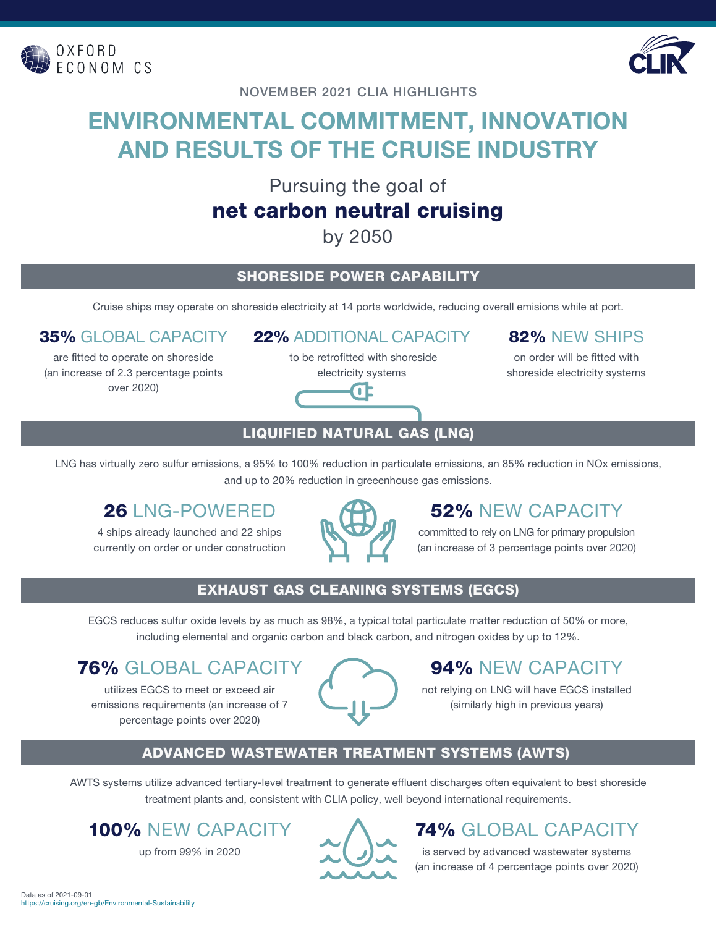



NOVEMBER 2021 CLIA HIGHLIGHTS

# **ENVIRONMENTAL COMMITMENT, INNOVATION AND RESULTS OF THE CRUISE INDUSTRY**

Pursuing the goal of

# net carbon neutral cruising

by 2050

#### SHORESIDE POWER CAPABILITY

Cruise ships may operate on shoreside electricity at 14 ports worldwide, reducing overall emisions while at port.

#### 35% GLOBAL CAPACITY

are fitted to operate on shoreside (an increase of 2.3 percentage points over 2020)

#### 22% ADDITIONAL CAPACITY

 to be retrofitted with shoreside electricity systems



### 82% NEW SHIPS

on order will be fitted with shoreside electricity systems

### LIQUIFIED NATURAL GAS (LNG)

LNG has virtually zero sulfur emissions, a 95% to 100% reduction in particulate emissions, an 85% reduction in NOx emissions, and up to 20% reduction in greeenhouse gas emissions.

### 26 LNG-POWERED

4 ships already launched and 22 ships currently on order or under construction



### 52% NEW CAPACITY

committed to rely on LNG for primary propulsion (an increase of 3 percentage points over 2020)

#### EXHAUST GAS CLEANING SYSTEMS (EGCS)

EGCS reduces sulfur oxide levels by as much as 98%, a typical total particulate matter reduction of 50% or more, including elemental and organic carbon and black carbon, and nitrogen oxides by up to 12%.

### 76% GLOBAL CAPACIT

utilizes EGCS to meet or exceed air emissions requirements (an increase of 7 percentage points over 2020)



# 94% NEW CAPACITY

not relying on LNG will have EGCS installed (similarly high in previous years)

#### ADVANCED WASTEWATER TREATMENT SYSTEMS (AWTS)

AWTS systems utilize advanced tertiary-level treatment to generate effluent discharges often equivalent to best shoreside treatment plants and, consistent with CLIA policy, well beyond international requirements.

# 100% NEW CAPACITY

up from 99% in 2020



# 74% GLOBAL CAPACITY

is served by advanced wastewater systems (an increase of 4 percentage points over 2020)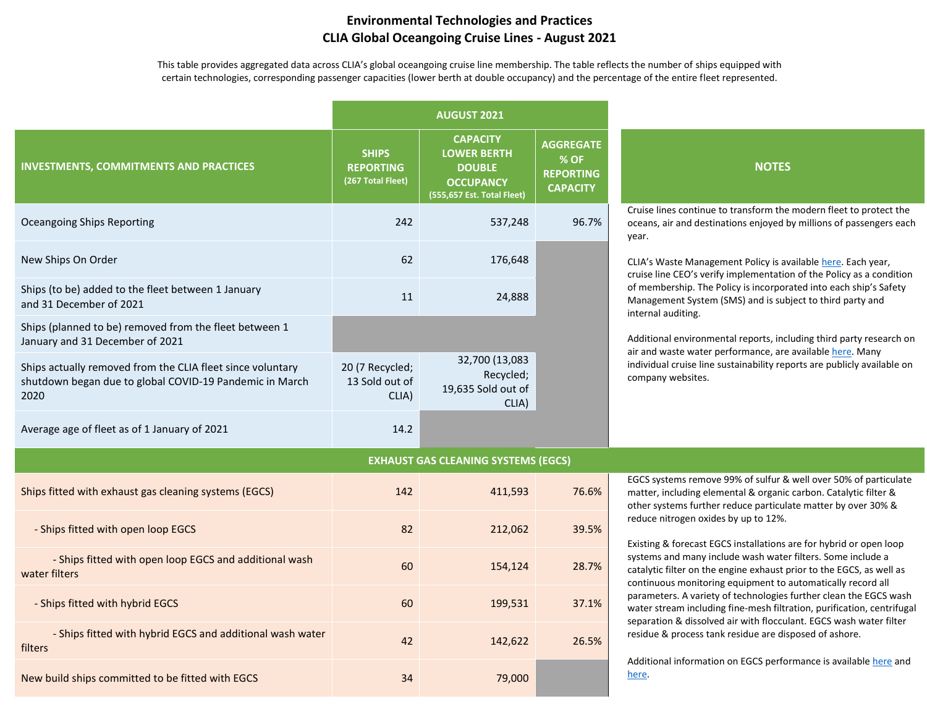#### **Environmental Technologies and Practices CLIA Global Oceangoing Cruise Lines - August 2021**

This table provides aggregated data across CLIA's global oceangoing cruise line membership. The table reflects the number of ships equipped with certain technologies, corresponding passenger capacities (lower berth at double occupancy) and the percentage of the entire fleet represented.

|                                                                                                                               | <b>AUGUST 2021</b>                                    |                                                                                                          |                                                                 |                                                                                                                                                                                                                                                                                                                                                                                                                                                                                                                                                                                                                                                                                                                                                                                                          |  |  |
|-------------------------------------------------------------------------------------------------------------------------------|-------------------------------------------------------|----------------------------------------------------------------------------------------------------------|-----------------------------------------------------------------|----------------------------------------------------------------------------------------------------------------------------------------------------------------------------------------------------------------------------------------------------------------------------------------------------------------------------------------------------------------------------------------------------------------------------------------------------------------------------------------------------------------------------------------------------------------------------------------------------------------------------------------------------------------------------------------------------------------------------------------------------------------------------------------------------------|--|--|
| <b>INVESTMENTS, COMMITMENTS AND PRACTICES</b>                                                                                 | <b>SHIPS</b><br><b>REPORTING</b><br>(267 Total Fleet) | <b>CAPACITY</b><br><b>LOWER BERTH</b><br><b>DOUBLE</b><br><b>OCCUPANCY</b><br>(555,657 Est. Total Fleet) | <b>AGGREGATE</b><br>% OF<br><b>REPORTING</b><br><b>CAPACITY</b> | <b>NOTES</b>                                                                                                                                                                                                                                                                                                                                                                                                                                                                                                                                                                                                                                                                                                                                                                                             |  |  |
| <b>Oceangoing Ships Reporting</b>                                                                                             | 242                                                   | 537,248                                                                                                  | 96.7%                                                           | Cruise lines continue to transform the modern fleet to protect the<br>oceans, air and destinations enjoyed by millions of passengers each<br>year.                                                                                                                                                                                                                                                                                                                                                                                                                                                                                                                                                                                                                                                       |  |  |
| New Ships On Order                                                                                                            | 62                                                    | 176,648                                                                                                  |                                                                 | CLIA's Waste Management Policy is available here. Each year,<br>cruise line CEO's verify implementation of the Policy as a condition<br>of membership. The Policy is incorporated into each ship's Safety<br>Management System (SMS) and is subject to third party and<br>internal auditing.                                                                                                                                                                                                                                                                                                                                                                                                                                                                                                             |  |  |
| Ships (to be) added to the fleet between 1 January<br>and 31 December of 2021                                                 | 11                                                    | 24,888                                                                                                   |                                                                 |                                                                                                                                                                                                                                                                                                                                                                                                                                                                                                                                                                                                                                                                                                                                                                                                          |  |  |
| Ships (planned to be) removed from the fleet between 1<br>January and 31 December of 2021                                     |                                                       |                                                                                                          |                                                                 | Additional environmental reports, including third party research on                                                                                                                                                                                                                                                                                                                                                                                                                                                                                                                                                                                                                                                                                                                                      |  |  |
| Ships actually removed from the CLIA fleet since voluntary<br>shutdown began due to global COVID-19 Pandemic in March<br>2020 | 20 (7 Recycled;<br>13 Sold out of<br>CLIA)            | 32,700 (13,083<br>Recycled;<br>19,635 Sold out of<br>CLIA)                                               |                                                                 | air and waste water performance, are available here. Many<br>individual cruise line sustainability reports are publicly available on<br>company websites.                                                                                                                                                                                                                                                                                                                                                                                                                                                                                                                                                                                                                                                |  |  |
| Average age of fleet as of 1 January of 2021                                                                                  | 14.2                                                  |                                                                                                          |                                                                 |                                                                                                                                                                                                                                                                                                                                                                                                                                                                                                                                                                                                                                                                                                                                                                                                          |  |  |
|                                                                                                                               |                                                       | <b>EXHAUST GAS CLEANING SYSTEMS (EGCS)</b>                                                               |                                                                 |                                                                                                                                                                                                                                                                                                                                                                                                                                                                                                                                                                                                                                                                                                                                                                                                          |  |  |
| Ships fitted with exhaust gas cleaning systems (EGCS)                                                                         | 142                                                   | 411,593                                                                                                  | 76.6%                                                           | EGCS systems remove 99% of sulfur & well over 50% of particulate<br>matter, including elemental & organic carbon. Catalytic filter &<br>other systems further reduce particulate matter by over 30% &<br>reduce nitrogen oxides by up to 12%.<br>Existing & forecast EGCS installations are for hybrid or open loop<br>systems and many include wash water filters. Some include a<br>catalytic filter on the engine exhaust prior to the EGCS, as well as<br>continuous monitoring equipment to automatically record all<br>parameters. A variety of technologies further clean the EGCS wash<br>water stream including fine-mesh filtration, purification, centrifugal<br>separation & dissolved air with flocculant. EGCS wash water filter<br>residue & process tank residue are disposed of ashore. |  |  |
| - Ships fitted with open loop EGCS                                                                                            | 82                                                    | 212,062                                                                                                  | 39.5%                                                           |                                                                                                                                                                                                                                                                                                                                                                                                                                                                                                                                                                                                                                                                                                                                                                                                          |  |  |
| - Ships fitted with open loop EGCS and additional wash<br>water filters                                                       | 60                                                    | 154,124                                                                                                  | 28.7%                                                           |                                                                                                                                                                                                                                                                                                                                                                                                                                                                                                                                                                                                                                                                                                                                                                                                          |  |  |
| - Ships fitted with hybrid EGCS                                                                                               | 60                                                    | 199,531                                                                                                  | 37.1%                                                           |                                                                                                                                                                                                                                                                                                                                                                                                                                                                                                                                                                                                                                                                                                                                                                                                          |  |  |
| - Ships fitted with hybrid EGCS and additional wash water<br>filters                                                          | 42                                                    | 142,622                                                                                                  | 26.5%                                                           |                                                                                                                                                                                                                                                                                                                                                                                                                                                                                                                                                                                                                                                                                                                                                                                                          |  |  |
| New build ships committed to be fitted with EGCS                                                                              | 34                                                    | 79,000                                                                                                   |                                                                 | Additional information on EGCS performance is available here and<br>here.                                                                                                                                                                                                                                                                                                                                                                                                                                                                                                                                                                                                                                                                                                                                |  |  |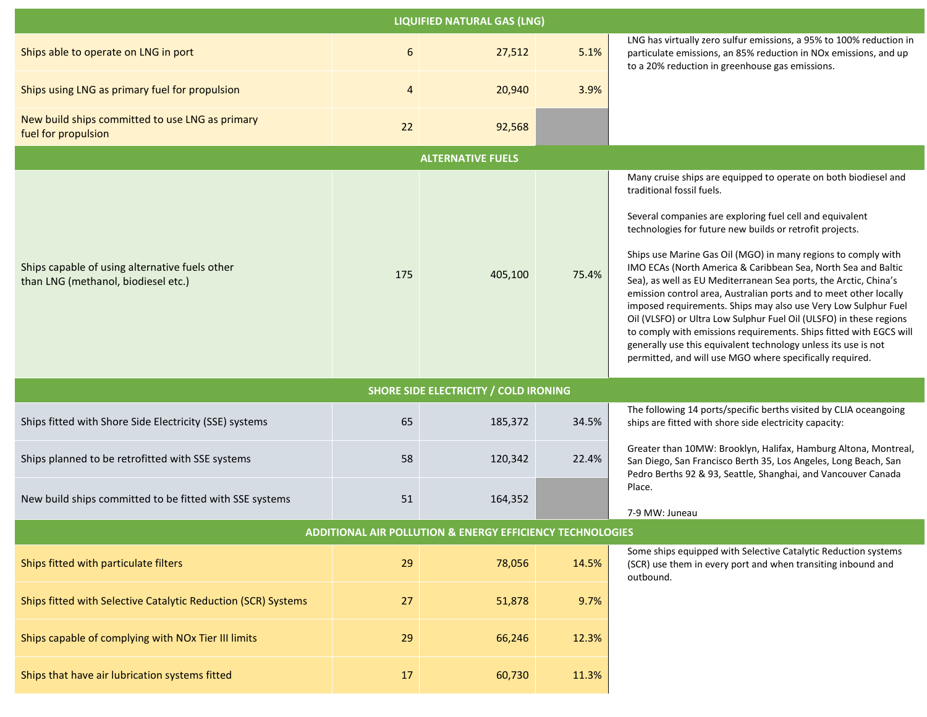| <b>LIQUIFIED NATURAL GAS (LNG)</b>                                                    |     |         |       |                                                                                                                                                                                                                                                                                                                                                                                                                                                                                                                                                                                                                                                                                                                                                                                                                                             |  |  |  |  |  |
|---------------------------------------------------------------------------------------|-----|---------|-------|---------------------------------------------------------------------------------------------------------------------------------------------------------------------------------------------------------------------------------------------------------------------------------------------------------------------------------------------------------------------------------------------------------------------------------------------------------------------------------------------------------------------------------------------------------------------------------------------------------------------------------------------------------------------------------------------------------------------------------------------------------------------------------------------------------------------------------------------|--|--|--|--|--|
| Ships able to operate on LNG in port                                                  | 6   | 27,512  | 5.1%  | LNG has virtually zero sulfur emissions, a 95% to 100% reduction in<br>particulate emissions, an 85% reduction in NOx emissions, and up<br>to a 20% reduction in greenhouse gas emissions.                                                                                                                                                                                                                                                                                                                                                                                                                                                                                                                                                                                                                                                  |  |  |  |  |  |
| Ships using LNG as primary fuel for propulsion                                        | 4   | 20,940  | 3.9%  |                                                                                                                                                                                                                                                                                                                                                                                                                                                                                                                                                                                                                                                                                                                                                                                                                                             |  |  |  |  |  |
| New build ships committed to use LNG as primary<br>fuel for propulsion                | 22  | 92,568  |       |                                                                                                                                                                                                                                                                                                                                                                                                                                                                                                                                                                                                                                                                                                                                                                                                                                             |  |  |  |  |  |
| <b>ALTERNATIVE FUELS</b>                                                              |     |         |       |                                                                                                                                                                                                                                                                                                                                                                                                                                                                                                                                                                                                                                                                                                                                                                                                                                             |  |  |  |  |  |
| Ships capable of using alternative fuels other<br>than LNG (methanol, biodiesel etc.) | 175 | 405,100 | 75.4% | Many cruise ships are equipped to operate on both biodiesel and<br>traditional fossil fuels.<br>Several companies are exploring fuel cell and equivalent<br>technologies for future new builds or retrofit projects.<br>Ships use Marine Gas Oil (MGO) in many regions to comply with<br>IMO ECAs (North America & Caribbean Sea, North Sea and Baltic<br>Sea), as well as EU Mediterranean Sea ports, the Arctic, China's<br>emission control area, Australian ports and to meet other locally<br>imposed requirements. Ships may also use Very Low Sulphur Fuel<br>Oil (VLSFO) or Ultra Low Sulphur Fuel Oil (ULSFO) in these regions<br>to comply with emissions requirements. Ships fitted with EGCS will<br>generally use this equivalent technology unless its use is not<br>permitted, and will use MGO where specifically required. |  |  |  |  |  |
| <b>SHORE SIDE ELECTRICITY / COLD IRONING</b>                                          |     |         |       |                                                                                                                                                                                                                                                                                                                                                                                                                                                                                                                                                                                                                                                                                                                                                                                                                                             |  |  |  |  |  |
| Ships fitted with Shore Side Electricity (SSE) systems                                | 65  | 185,372 | 34.5% | The following 14 ports/specific berths visited by CLIA oceangoing<br>ships are fitted with shore side electricity capacity:                                                                                                                                                                                                                                                                                                                                                                                                                                                                                                                                                                                                                                                                                                                 |  |  |  |  |  |
| Ships planned to be retrofitted with SSE systems                                      | 58  | 120,342 | 22.4% | Greater than 10MW: Brooklyn, Halifax, Hamburg Altona, Montreal,<br>San Diego, San Francisco Berth 35, Los Angeles, Long Beach, San<br>Pedro Berths 92 & 93, Seattle, Shanghai, and Vancouver Canada                                                                                                                                                                                                                                                                                                                                                                                                                                                                                                                                                                                                                                         |  |  |  |  |  |
| New build ships committed to be fitted with SSE systems                               | 51  | 164,352 |       | Place.<br>7-9 MW: Juneau                                                                                                                                                                                                                                                                                                                                                                                                                                                                                                                                                                                                                                                                                                                                                                                                                    |  |  |  |  |  |
| <b>ADDITIONAL AIR POLLUTION &amp; ENERGY EFFICIENCY TECHNOLOGIES</b>                  |     |         |       |                                                                                                                                                                                                                                                                                                                                                                                                                                                                                                                                                                                                                                                                                                                                                                                                                                             |  |  |  |  |  |
| Ships fitted with particulate filters                                                 | 29  | 78,056  | 14.5% | Some ships equipped with Selective Catalytic Reduction systems<br>(SCR) use them in every port and when transiting inbound and<br>outbound.                                                                                                                                                                                                                                                                                                                                                                                                                                                                                                                                                                                                                                                                                                 |  |  |  |  |  |
| Ships fitted with Selective Catalytic Reduction (SCR) Systems                         | 27  | 51,878  | 9.7%  |                                                                                                                                                                                                                                                                                                                                                                                                                                                                                                                                                                                                                                                                                                                                                                                                                                             |  |  |  |  |  |
| Ships capable of complying with NOx Tier III limits                                   | 29  | 66,246  | 12.3% |                                                                                                                                                                                                                                                                                                                                                                                                                                                                                                                                                                                                                                                                                                                                                                                                                                             |  |  |  |  |  |
| Ships that have air lubrication systems fitted                                        | 17  | 60,730  | 11.3% |                                                                                                                                                                                                                                                                                                                                                                                                                                                                                                                                                                                                                                                                                                                                                                                                                                             |  |  |  |  |  |